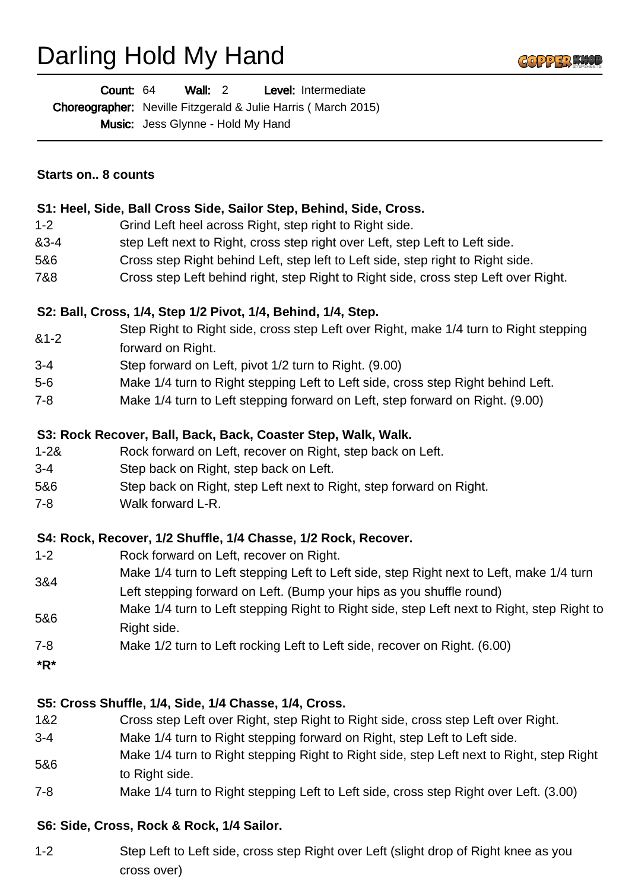# Darling Hold My Hand



Wall: 2 Level: Intermediate Count: 64

Choreographer: Neville Fitzgerald & Julie Harris (March 2015)

Music: Jess Glynne - Hold My Hand

#### **Starts on.. 8 counts**

#### **S1: Heel, Side, Ball Cross Side, Sailor Step, Behind, Side, Cross.**

- 1-2 Grind Left heel across Right, step right to Right side.
- &3-4 step Left next to Right, cross step right over Left, step Left to Left side.
- 5&6 Cross step Right behind Left, step left to Left side, step right to Right side.
- 7&8 Cross step Left behind right, step Right to Right side, cross step Left over Right.

### **S2: Ball, Cross, 1/4, Step 1/2 Pivot, 1/4, Behind, 1/4, Step.**

- &1-2 Step Right to Right side, cross step Left over Right, make 1/4 turn to Right stepping
- forward on Right.
- 3-4 Step forward on Left, pivot 1/2 turn to Right. (9.00)
- 5-6 Make 1/4 turn to Right stepping Left to Left side, cross step Right behind Left.
- 7-8 Make 1/4 turn to Left stepping forward on Left, step forward on Right. (9.00)

### **S3: Rock Recover, Ball, Back, Back, Coaster Step, Walk, Walk.**

- 1-2& Rock forward on Left, recover on Right, step back on Left.
- 3-4 Step back on Right, step back on Left.
- 5&6 Step back on Right, step Left next to Right, step forward on Right.
- 7-8 Walk forward L-R.

## **S4: Rock, Recover, 1/2 Shuffle, 1/4 Chasse, 1/2 Rock, Recover.**

- 1-2 Rock forward on Left, recover on Right.
- 3&4 Make 1/4 turn to Left stepping Left to Left side, step Right next to Left, make 1/4 turn Left stepping forward on Left. (Bump your hips as you shuffle round)
- 5&6 Make 1/4 turn to Left stepping Right to Right side, step Left next to Right, step Right to Right side.
- 7-8 Make 1/2 turn to Left rocking Left to Left side, recover on Right. (6.00)
- **\*R\***

## **S5: Cross Shuffle, 1/4, Side, 1/4 Chasse, 1/4, Cross.**

- 1&2 Cross step Left over Right, step Right to Right side, cross step Left over Right.
- 3-4 Make 1/4 turn to Right stepping forward on Right, step Left to Left side.
- 5&6 Make 1/4 turn to Right stepping Right to Right side, step Left next to Right, step Right to Right side.
- 7-8 Make 1/4 turn to Right stepping Left to Left side, cross step Right over Left. (3.00)

## **S6: Side, Cross, Rock & Rock, 1/4 Sailor.**

1-2 Step Left to Left side, cross step Right over Left (slight drop of Right knee as you cross over)